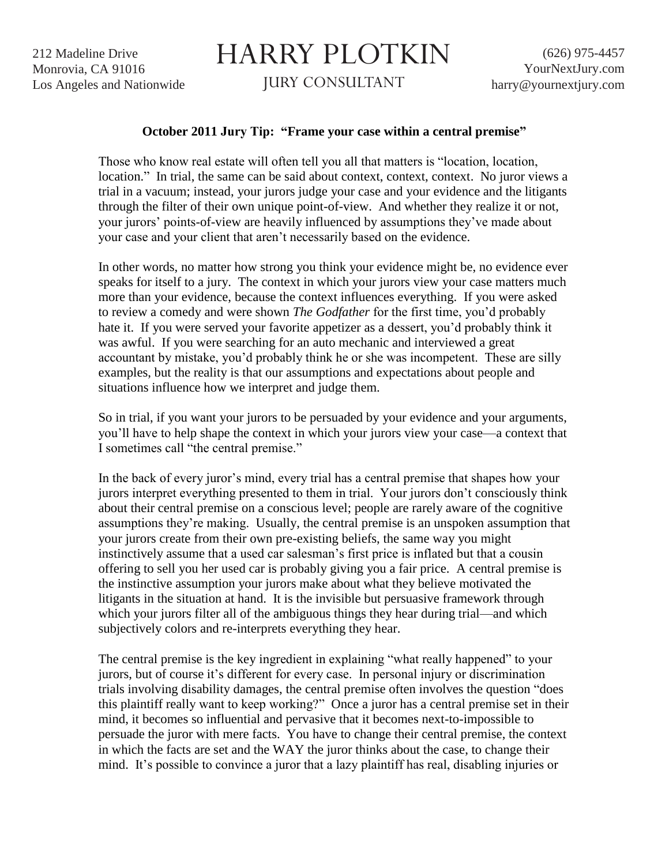212 Madeline Drive Monrovia, CA 91016 Los Angeles and Nationwide

## HARRY PLOTKIN

JURY CONSULTANT

## **October 2011 Jury Tip: "Frame your case within a central premise"**

Those who know real estate will often tell you all that matters is "location, location, location." In trial, the same can be said about context, context, context. No juror views a trial in a vacuum; instead, your jurors judge your case and your evidence and the litigants through the filter of their own unique point-of-view. And whether they realize it or not, your jurors' points-of-view are heavily influenced by assumptions they've made about your case and your client that aren't necessarily based on the evidence.

In other words, no matter how strong you think your evidence might be, no evidence ever speaks for itself to a jury. The context in which your jurors view your case matters much more than your evidence, because the context influences everything. If you were asked to review a comedy and were shown *The Godfather* for the first time, you'd probably hate it. If you were served your favorite appetizer as a dessert, you'd probably think it was awful. If you were searching for an auto mechanic and interviewed a great accountant by mistake, you'd probably think he or she was incompetent. These are silly examples, but the reality is that our assumptions and expectations about people and situations influence how we interpret and judge them.

So in trial, if you want your jurors to be persuaded by your evidence and your arguments, you'll have to help shape the context in which your jurors view your case—a context that I sometimes call "the central premise."

In the back of every juror's mind, every trial has a central premise that shapes how your jurors interpret everything presented to them in trial. Your jurors don't consciously think about their central premise on a conscious level; people are rarely aware of the cognitive assumptions they're making. Usually, the central premise is an unspoken assumption that your jurors create from their own pre-existing beliefs, the same way you might instinctively assume that a used car salesman's first price is inflated but that a cousin offering to sell you her used car is probably giving you a fair price. A central premise is the instinctive assumption your jurors make about what they believe motivated the litigants in the situation at hand. It is the invisible but persuasive framework through which your jurors filter all of the ambiguous things they hear during trial—and which subjectively colors and re-interprets everything they hear.

The central premise is the key ingredient in explaining "what really happened" to your jurors, but of course it's different for every case. In personal injury or discrimination trials involving disability damages, the central premise often involves the question "does this plaintiff really want to keep working?" Once a juror has a central premise set in their mind, it becomes so influential and pervasive that it becomes next-to-impossible to persuade the juror with mere facts. You have to change their central premise, the context in which the facts are set and the WAY the juror thinks about the case, to change their mind. It's possible to convince a juror that a lazy plaintiff has real, disabling injuries or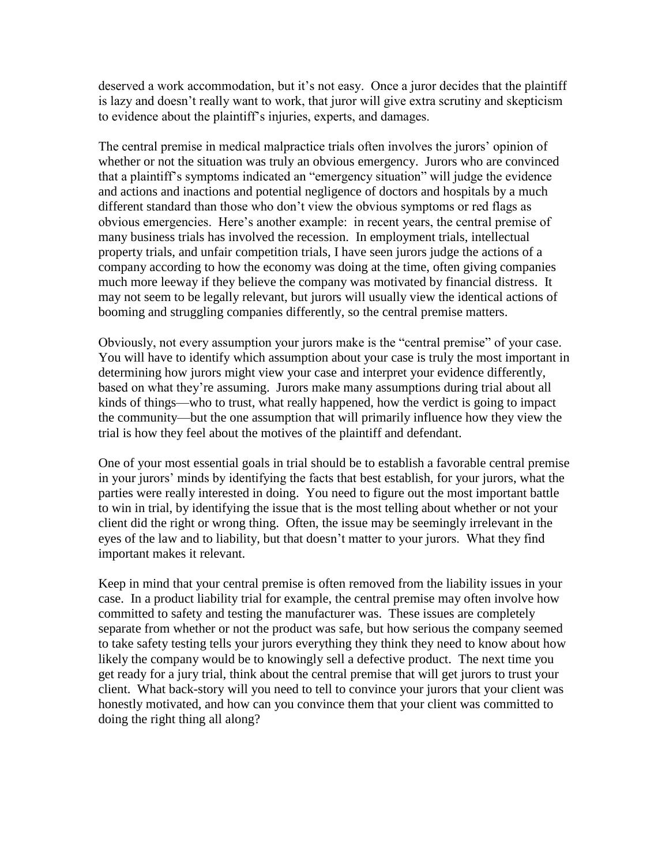deserved a work accommodation, but it's not easy. Once a juror decides that the plaintiff is lazy and doesn't really want to work, that juror will give extra scrutiny and skepticism to evidence about the plaintiff's injuries, experts, and damages.

The central premise in medical malpractice trials often involves the jurors' opinion of whether or not the situation was truly an obvious emergency. Jurors who are convinced that a plaintiff's symptoms indicated an "emergency situation" will judge the evidence and actions and inactions and potential negligence of doctors and hospitals by a much different standard than those who don't view the obvious symptoms or red flags as obvious emergencies. Here's another example: in recent years, the central premise of many business trials has involved the recession. In employment trials, intellectual property trials, and unfair competition trials, I have seen jurors judge the actions of a company according to how the economy was doing at the time, often giving companies much more leeway if they believe the company was motivated by financial distress. It may not seem to be legally relevant, but jurors will usually view the identical actions of booming and struggling companies differently, so the central premise matters.

Obviously, not every assumption your jurors make is the "central premise" of your case. You will have to identify which assumption about your case is truly the most important in determining how jurors might view your case and interpret your evidence differently, based on what they're assuming. Jurors make many assumptions during trial about all kinds of things—who to trust, what really happened, how the verdict is going to impact the community—but the one assumption that will primarily influence how they view the trial is how they feel about the motives of the plaintiff and defendant.

One of your most essential goals in trial should be to establish a favorable central premise in your jurors' minds by identifying the facts that best establish, for your jurors, what the parties were really interested in doing. You need to figure out the most important battle to win in trial, by identifying the issue that is the most telling about whether or not your client did the right or wrong thing. Often, the issue may be seemingly irrelevant in the eyes of the law and to liability, but that doesn't matter to your jurors. What they find important makes it relevant.

Keep in mind that your central premise is often removed from the liability issues in your case. In a product liability trial for example, the central premise may often involve how committed to safety and testing the manufacturer was. These issues are completely separate from whether or not the product was safe, but how serious the company seemed to take safety testing tells your jurors everything they think they need to know about how likely the company would be to knowingly sell a defective product. The next time you get ready for a jury trial, think about the central premise that will get jurors to trust your client. What back-story will you need to tell to convince your jurors that your client was honestly motivated, and how can you convince them that your client was committed to doing the right thing all along?